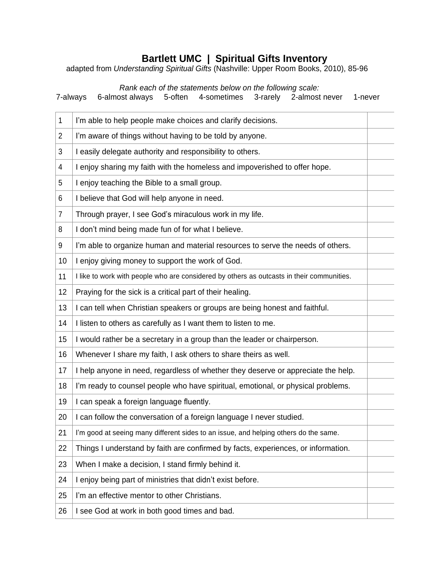## **Bartlett UMC | Spiritual Gifts Inventory**

adapted from *Understanding Spiritual Gifts* (Nashville: Upper Room Books, 2010), 85-96

### *Rank each of the statements below on the following scale:*

7-always 6-almost always 5-often 4-sometimes 3-rarely 2-almost never 1-never

| $\mathbf{1}$   | I'm able to help people make choices and clarify decisions.                               |  |
|----------------|-------------------------------------------------------------------------------------------|--|
| $\overline{2}$ | I'm aware of things without having to be told by anyone.                                  |  |
| 3              | I easily delegate authority and responsibility to others.                                 |  |
| 4              | I enjoy sharing my faith with the homeless and impoverished to offer hope.                |  |
| 5              | I enjoy teaching the Bible to a small group.                                              |  |
| 6              | I believe that God will help anyone in need.                                              |  |
| $\overline{7}$ | Through prayer, I see God's miraculous work in my life.                                   |  |
| 8              | I don't mind being made fun of for what I believe.                                        |  |
| 9              | I'm able to organize human and material resources to serve the needs of others.           |  |
| 10             | I enjoy giving money to support the work of God.                                          |  |
| 11             | I like to work with people who are considered by others as outcasts in their communities. |  |
| 12             | Praying for the sick is a critical part of their healing.                                 |  |
| 13             | I can tell when Christian speakers or groups are being honest and faithful.               |  |
| 14             | I listen to others as carefully as I want them to listen to me.                           |  |
| 15             | I would rather be a secretary in a group than the leader or chairperson.                  |  |
| 16             | Whenever I share my faith, I ask others to share theirs as well.                          |  |
| 17             | I help anyone in need, regardless of whether they deserve or appreciate the help.         |  |
| 18             | I'm ready to counsel people who have spiritual, emotional, or physical problems.          |  |
| 19             | I can speak a foreign language fluently.                                                  |  |
| 20             | I can follow the conversation of a foreign language I never studied.                      |  |
| 21             | I'm good at seeing many different sides to an issue, and helping others do the same.      |  |
| 22             | Things I understand by faith are confirmed by facts, experiences, or information.         |  |
| 23             | When I make a decision, I stand firmly behind it.                                         |  |
| 24             | I enjoy being part of ministries that didn't exist before.                                |  |
| 25             | I'm an effective mentor to other Christians.                                              |  |
| 26             | I see God at work in both good times and bad.                                             |  |
|                |                                                                                           |  |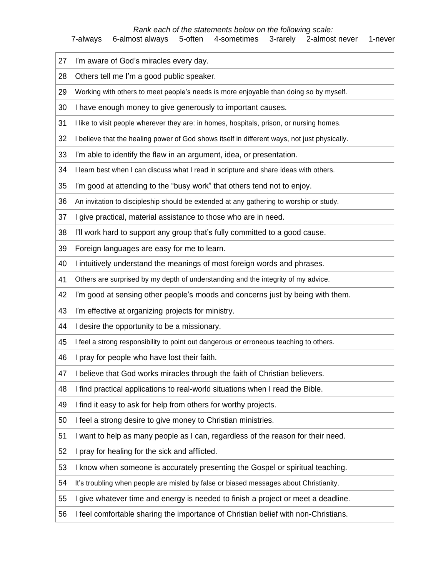# *Rank each of the statements below on the following scale:*

|  | 7-always 6-almost always 5-often 4-sometimes 3-rarely 2-almost never 1-never |  |  |  |  |  |
|--|------------------------------------------------------------------------------|--|--|--|--|--|
|--|------------------------------------------------------------------------------|--|--|--|--|--|

| 27 | I'm aware of God's miracles every day.                                                       |  |
|----|----------------------------------------------------------------------------------------------|--|
| 28 | Others tell me I'm a good public speaker.                                                    |  |
| 29 | Working with others to meet people's needs is more enjoyable than doing so by myself.        |  |
| 30 | I have enough money to give generously to important causes.                                  |  |
| 31 | I like to visit people wherever they are: in homes, hospitals, prison, or nursing homes.     |  |
| 32 | I believe that the healing power of God shows itself in different ways, not just physically. |  |
| 33 | I'm able to identify the flaw in an argument, idea, or presentation.                         |  |
| 34 | I learn best when I can discuss what I read in scripture and share ideas with others.        |  |
| 35 | I'm good at attending to the "busy work" that others tend not to enjoy.                      |  |
| 36 | An invitation to discipleship should be extended at any gathering to worship or study.       |  |
| 37 | I give practical, material assistance to those who are in need.                              |  |
| 38 | I'll work hard to support any group that's fully committed to a good cause.                  |  |
| 39 | Foreign languages are easy for me to learn.                                                  |  |
| 40 | I intuitively understand the meanings of most foreign words and phrases.                     |  |
| 41 | Others are surprised by my depth of understanding and the integrity of my advice.            |  |
| 42 | I'm good at sensing other people's moods and concerns just by being with them.               |  |
| 43 | I'm effective at organizing projects for ministry.                                           |  |
| 44 | I desire the opportunity to be a missionary.                                                 |  |
| 45 | I feel a strong responsibility to point out dangerous or erroneous teaching to others.       |  |
| 46 | I pray for people who have lost their faith.                                                 |  |
| 47 | I believe that God works miracles through the faith of Christian believers.                  |  |
| 48 | I find practical applications to real-world situations when I read the Bible.                |  |
| 49 | I find it easy to ask for help from others for worthy projects.                              |  |
| 50 | I feel a strong desire to give money to Christian ministries.                                |  |
| 51 | I want to help as many people as I can, regardless of the reason for their need.             |  |
| 52 | I pray for healing for the sick and afflicted.                                               |  |
| 53 | I know when someone is accurately presenting the Gospel or spiritual teaching.               |  |
| 54 | It's troubling when people are misled by false or biased messages about Christianity.        |  |
| 55 | I give whatever time and energy is needed to finish a project or meet a deadline.            |  |
| 56 | I feel comfortable sharing the importance of Christian belief with non-Christians.           |  |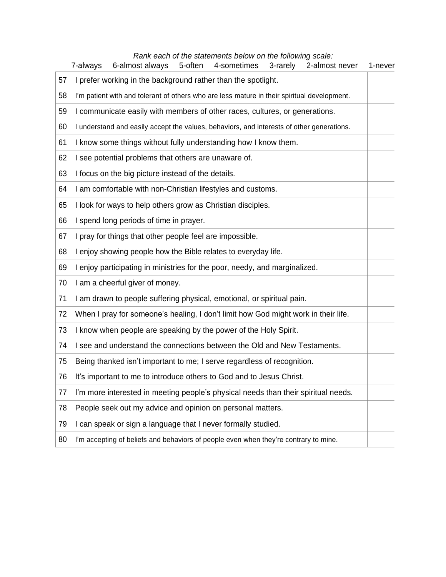*Rank each of the statements below on the following scale:*

|    | 4-sometimes<br>6-almost always<br>5-often<br>3-rarely<br>2-almost never<br>7-always         | 1-never |
|----|---------------------------------------------------------------------------------------------|---------|
| 57 | I prefer working in the background rather than the spotlight.                               |         |
| 58 | I'm patient with and tolerant of others who are less mature in their spiritual development. |         |
| 59 | I communicate easily with members of other races, cultures, or generations.                 |         |
| 60 | I understand and easily accept the values, behaviors, and interests of other generations.   |         |
| 61 | I know some things without fully understanding how I know them.                             |         |
| 62 | I see potential problems that others are unaware of.                                        |         |
| 63 | I focus on the big picture instead of the details.                                          |         |
| 64 | I am comfortable with non-Christian lifestyles and customs.                                 |         |
| 65 | I look for ways to help others grow as Christian disciples.                                 |         |
| 66 | I spend long periods of time in prayer.                                                     |         |
| 67 | I pray for things that other people feel are impossible.                                    |         |
| 68 | I enjoy showing people how the Bible relates to everyday life.                              |         |
| 69 | I enjoy participating in ministries for the poor, needy, and marginalized.                  |         |
| 70 | I am a cheerful giver of money.                                                             |         |
| 71 | I am drawn to people suffering physical, emotional, or spiritual pain.                      |         |
| 72 | When I pray for someone's healing, I don't limit how God might work in their life.          |         |
| 73 | I know when people are speaking by the power of the Holy Spirit.                            |         |
| 74 | I see and understand the connections between the Old and New Testaments.                    |         |
| 75 | Being thanked isn't important to me; I serve regardless of recognition.                     |         |
| 76 | It's important to me to introduce others to God and to Jesus Christ.                        |         |
| 77 | I'm more interested in meeting people's physical needs than their spiritual needs.          |         |
| 78 | People seek out my advice and opinion on personal matters.                                  |         |
| 79 | I can speak or sign a language that I never formally studied.                               |         |
| 80 | I'm accepting of beliefs and behaviors of people even when they're contrary to mine.        |         |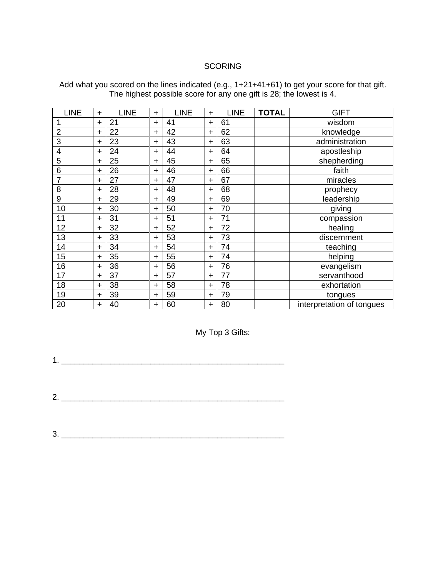### **SCORING**

| <b>LINE</b>    | $\ddot{}$ | <b>LINE</b> | $\ddot{}$ | <b>LINE</b> | $\ddot{}$ | <b>LINE</b> | <b>TOTAL</b> | <b>GIFT</b>               |
|----------------|-----------|-------------|-----------|-------------|-----------|-------------|--------------|---------------------------|
| 1              | $\ddot{}$ | 21          | $\ddot{}$ | 41          | $\ddot{}$ | 61          |              | wisdom                    |
| $\overline{2}$ | $\ddot{}$ | 22          | $\ddot{}$ | 42          | $\ddot{}$ | 62          |              | knowledge                 |
| $\sqrt{3}$     | $\ddot{}$ | 23          | $\ddot{}$ | 43          | $\ddot{}$ | 63          |              | administration            |
| 4              | +         | 24          | $\ddot{}$ | 44          | $\ddot{}$ | 64          |              | apostleship               |
| 5              | +         | 25          | $\ddot{}$ | 45          | $\ddot{}$ | 65          |              | shepherding               |
| 6              | $\ddot{}$ | 26          | $\ddot{}$ | 46          | $\ddot{}$ | 66          |              | faith                     |
| $\overline{7}$ | $\ddot{}$ | 27          | $\ddot{}$ | 47          | $\ddot{}$ | 67          |              | miracles                  |
| 8              | $\ddot{}$ | 28          | $\ddot{}$ | 48          | $\ddot{}$ | 68          |              | prophecy                  |
| 9              | $\ddot{}$ | 29          | $\ddot{}$ | 49          | $\ddot{}$ | 69          |              | leadership                |
| 10             | $\ddot{}$ | 30          | $\ddot{}$ | 50          | $\ddot{}$ | 70          |              | giving                    |
| 11             | $\ddot{}$ | 31          | $\ddot{}$ | 51          | $\ddot{}$ | 71          |              | compassion                |
| 12             | +         | 32          | $\ddot{}$ | 52          | $\ddot{}$ | 72          |              | healing                   |
| 13             | $\ddot{}$ | 33          | $\ddot{}$ | 53          | $\ddot{}$ | 73          |              | discernment               |
| 14             | $\ddot{}$ | 34          | $\ddot{}$ | 54          | $\ddot{}$ | 74          |              | teaching                  |
| 15             | $\ddot{}$ | 35          | $\ddot{}$ | 55          | $\ddot{}$ | 74          |              | helping                   |
| 16             | $\ddot{}$ | 36          | $\ddot{}$ | 56          | $\ddot{}$ | 76          |              | evangelism                |
| 17             | $\ddot{}$ | 37          | $\ddot{}$ | 57          | $\ddot{}$ | 77          |              | servanthood               |
| 18             | $\ddot{}$ | 38          | $\ddot{}$ | 58          | $\ddot{}$ | 78          |              | exhortation               |
| 19             | $\ddot{}$ | 39          | $\ddot{}$ | 59          | $\ddot{}$ | 79          |              | tongues                   |
| 20             | +         | 40          | $\ddot{}$ | 60          | $\ddot{}$ | 80          |              | interpretation of tongues |

Add what you scored on the lines indicated (e.g., 1+21+41+61) to get your score for that gift. The highest possible score for any one gift is 28; the lowest is 4.

My Top 3 Gifts:

1. \_\_\_\_\_\_\_\_\_\_\_\_\_\_\_\_\_\_\_\_\_\_\_\_\_\_\_\_\_\_\_\_\_\_\_\_\_\_\_\_\_\_\_\_\_\_\_\_\_\_

2. \_\_\_\_\_\_\_\_\_\_\_\_\_\_\_\_\_\_\_\_\_\_\_\_\_\_\_\_\_\_\_\_\_\_\_\_\_\_\_\_\_\_\_\_\_\_\_\_\_\_

3. \_\_\_\_\_\_\_\_\_\_\_\_\_\_\_\_\_\_\_\_\_\_\_\_\_\_\_\_\_\_\_\_\_\_\_\_\_\_\_\_\_\_\_\_\_\_\_\_\_\_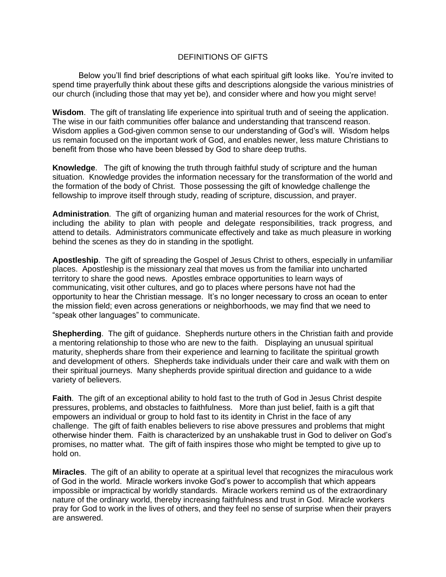#### DEFINITIONS OF GIFTS

Below you'll find brief descriptions of what each spiritual gift looks like. You're invited to spend time prayerfully think about these gifts and descriptions alongside the various ministries of our church (including those that may yet be), and consider where and how you might serve!

**Wisdom**. The gift of translating life experience into spiritual truth and of seeing the application. The wise in our faith communities offer balance and understanding that transcend reason. Wisdom applies a God-given common sense to our understanding of God's will. Wisdom helps us remain focused on the important work of God, and enables newer, less mature Christians to benefit from those who have been blessed by God to share deep truths.

**Knowledge**. The gift of knowing the truth through faithful study of scripture and the human situation. Knowledge provides the information necessary for the transformation of the world and the formation of the body of Christ. Those possessing the gift of knowledge challenge the fellowship to improve itself through study, reading of scripture, discussion, and prayer.

**Administration**. The gift of organizing human and material resources for the work of Christ, including the ability to plan with people and delegate responsibilities, track progress, and attend to details. Administrators communicate effectively and take as much pleasure in working behind the scenes as they do in standing in the spotlight.

**Apostleship**. The gift of spreading the Gospel of Jesus Christ to others, especially in unfamiliar places. Apostleship is the missionary zeal that moves us from the familiar into uncharted territory to share the good news. Apostles embrace opportunities to learn ways of communicating, visit other cultures, and go to places where persons have not had the opportunity to hear the Christian message. It's no longer necessary to cross an ocean to enter the mission field; even across generations or neighborhoods, we may find that we need to "speak other languages" to communicate.

**Shepherding**. The gift of guidance. Shepherds nurture others in the Christian faith and provide a mentoring relationship to those who are new to the faith. Displaying an unusual spiritual maturity, shepherds share from their experience and learning to facilitate the spiritual growth and development of others. Shepherds take individuals under their care and walk with them on their spiritual journeys. Many shepherds provide spiritual direction and guidance to a wide variety of believers.

**Faith**. The gift of an exceptional ability to hold fast to the truth of God in Jesus Christ despite pressures, problems, and obstacles to faithfulness. More than just belief, faith is a gift that empowers an individual or group to hold fast to its identity in Christ in the face of any challenge. The gift of faith enables believers to rise above pressures and problems that might otherwise hinder them. Faith is characterized by an unshakable trust in God to deliver on God's promises, no matter what. The gift of faith inspires those who might be tempted to give up to hold on.

**Miracles**. The gift of an ability to operate at a spiritual level that recognizes the miraculous work of God in the world. Miracle workers invoke God's power to accomplish that which appears impossible or impractical by worldly standards. Miracle workers remind us of the extraordinary nature of the ordinary world, thereby increasing faithfulness and trust in God. Miracle workers pray for God to work in the lives of others, and they feel no sense of surprise when their prayers are answered.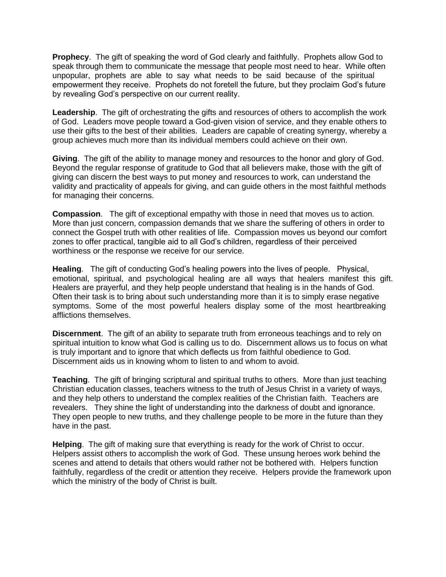**Prophecy**. The gift of speaking the word of God clearly and faithfully. Prophets allow God to speak through them to communicate the message that people most need to hear. While often unpopular, prophets are able to say what needs to be said because of the spiritual empowerment they receive. Prophets do not foretell the future, but they proclaim God's future by revealing God's perspective on our current reality.

**Leadership**. The gift of orchestrating the gifts and resources of others to accomplish the work of God. Leaders move people toward a God-given vision of service, and they enable others to use their gifts to the best of their abilities. Leaders are capable of creating synergy, whereby a group achieves much more than its individual members could achieve on their own.

**Giving**. The gift of the ability to manage money and resources to the honor and glory of God. Beyond the regular response of gratitude to God that all believers make, those with the gift of giving can discern the best ways to put money and resources to work, can understand the validity and practicality of appeals for giving, and can guide others in the most faithful methods for managing their concerns.

**Compassion**. The gift of exceptional empathy with those in need that moves us to action. More than just concern, compassion demands that we share the suffering of others in order to connect the Gospel truth with other realities of life. Compassion moves us beyond our comfort zones to offer practical, tangible aid to all God's children, regardless of their perceived worthiness or the response we receive for our service.

**Healing**. The gift of conducting God's healing powers into the lives of people. Physical, emotional, spiritual, and psychological healing are all ways that healers manifest this gift. Healers are prayerful, and they help people understand that healing is in the hands of God. Often their task is to bring about such understanding more than it is to simply erase negative symptoms. Some of the most powerful healers display some of the most heartbreaking afflictions themselves.

**Discernment**. The gift of an ability to separate truth from erroneous teachings and to rely on spiritual intuition to know what God is calling us to do. Discernment allows us to focus on what is truly important and to ignore that which deflects us from faithful obedience to God. Discernment aids us in knowing whom to listen to and whom to avoid.

**Teaching**. The gift of bringing scriptural and spiritual truths to others. More than just teaching Christian education classes, teachers witness to the truth of Jesus Christ in a variety of ways, and they help others to understand the complex realities of the Christian faith. Teachers are revealers. They shine the light of understanding into the darkness of doubt and ignorance. They open people to new truths, and they challenge people to be more in the future than they have in the past.

**Helping**. The gift of making sure that everything is ready for the work of Christ to occur. Helpers assist others to accomplish the work of God. These unsung heroes work behind the scenes and attend to details that others would rather not be bothered with. Helpers function faithfully, regardless of the credit or attention they receive. Helpers provide the framework upon which the ministry of the body of Christ is built.